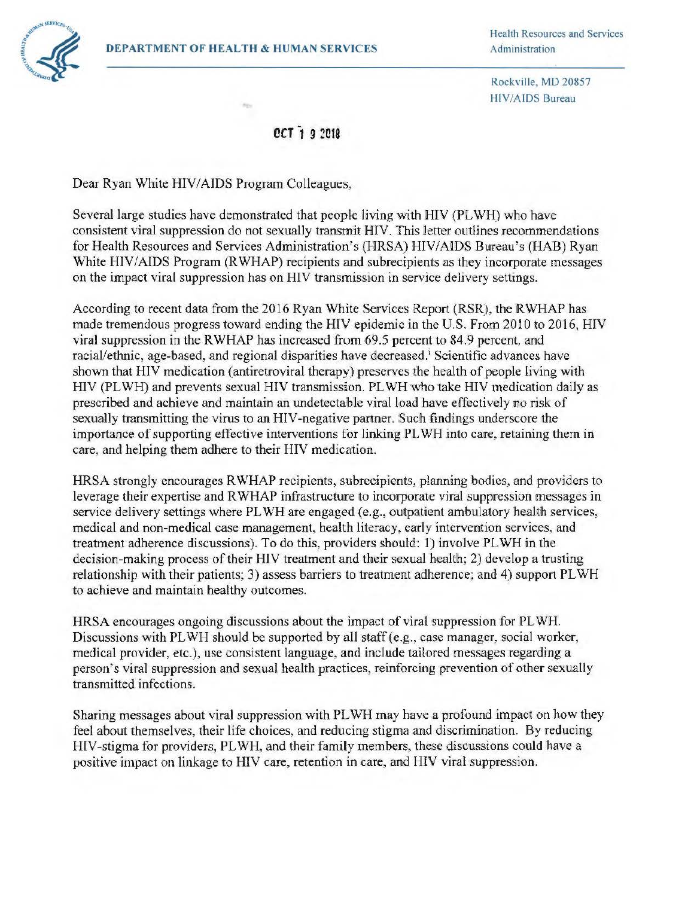

Health Resources and Services

Rockville, MD 20857 HIV/AIDS Bureau

## *OCT* **19 ~018**

Dear Ryan White HIV/AIDS Program Colleagues,

Several large studies have demonstrated that people living with H[V (PLWH) who have consistent viral suppression do not sexually transmit HIV. This letter outlines recommendations for Health Resources and Services Administration's (HRSA) HIV/AIDS Bureau's (HAB) Ryan White HIV/AIDS Program (R WHAP) recipients and subrecipients as they incorporate messages on the impact viral suppression has on HIV transmission in service delivery settings.

According to recent data from the 2016 Ryan White Services Report (RSR), the RWHAP has made tremendous progress toward ending the HIV epidemic in the U.S. From 2010 to 2016, HIV viral suppression in the R WHAP has increased from 69.5 percent to 84. 9 percent, and racial/ethnic, age-based, and regional disparities have decreased.<sup>i</sup> Scientific advances have shown that HIV medication (antiretroviral therapy) preserves the health of people living with HIV (PLWH) and prevents sexual HIV transmission. PLWH who take HIV medication daily as prescribed and achieve and maintain an undetectable viral load have effectively no risk of sexually transmitting the virus to an HIV-negative partner. Such findings underscore the importance of supporting effective interventions for linking PLWH into care, retaining them in care, and helping them adhere to their HIV medication,

HRSA strongly encourages RWHAP recipients, subrecipients, planning bodies, and providers to leverage their expertise and RWHAP infrastructure to incorporate viral suppression messages in service delivery settings where PLWH are engaged (e.g., outpatient ambulatory health services, medical and non-medical case management, health literacy, early intervention services, and treatment adherence discussions). To do this, providers should: 1) involve PLWH in the decision-making process of their HIV treatment and their sexual health; 2) develop a trusting relationship with their patients; 3) assess barriers to treatment adherence; and 4) support PLWH to achieve and maintain healthy outcomes.

HRSA encourages ongoing discussions about the impact of viral suppression for PLWH. Discussions with PLWH should be supported by all staff (e.g., case manager, social worker, medical provider, etc.), use consistent language, and include tailored messages regarding a person's viral suppression and sexual health practices, reinforcing prevention of other sexually transmitted infections.

Sharing messages about viral suppression with PLWH may have a profound impact on how they feel about themselves, their life choices, and reducing stigma and discrimination. By reducing HIV-stigma for providers, PL WH, and their family members, these discussions could have a positive impact on linkage to HIV care, retention in care, and HIV viral suppression.